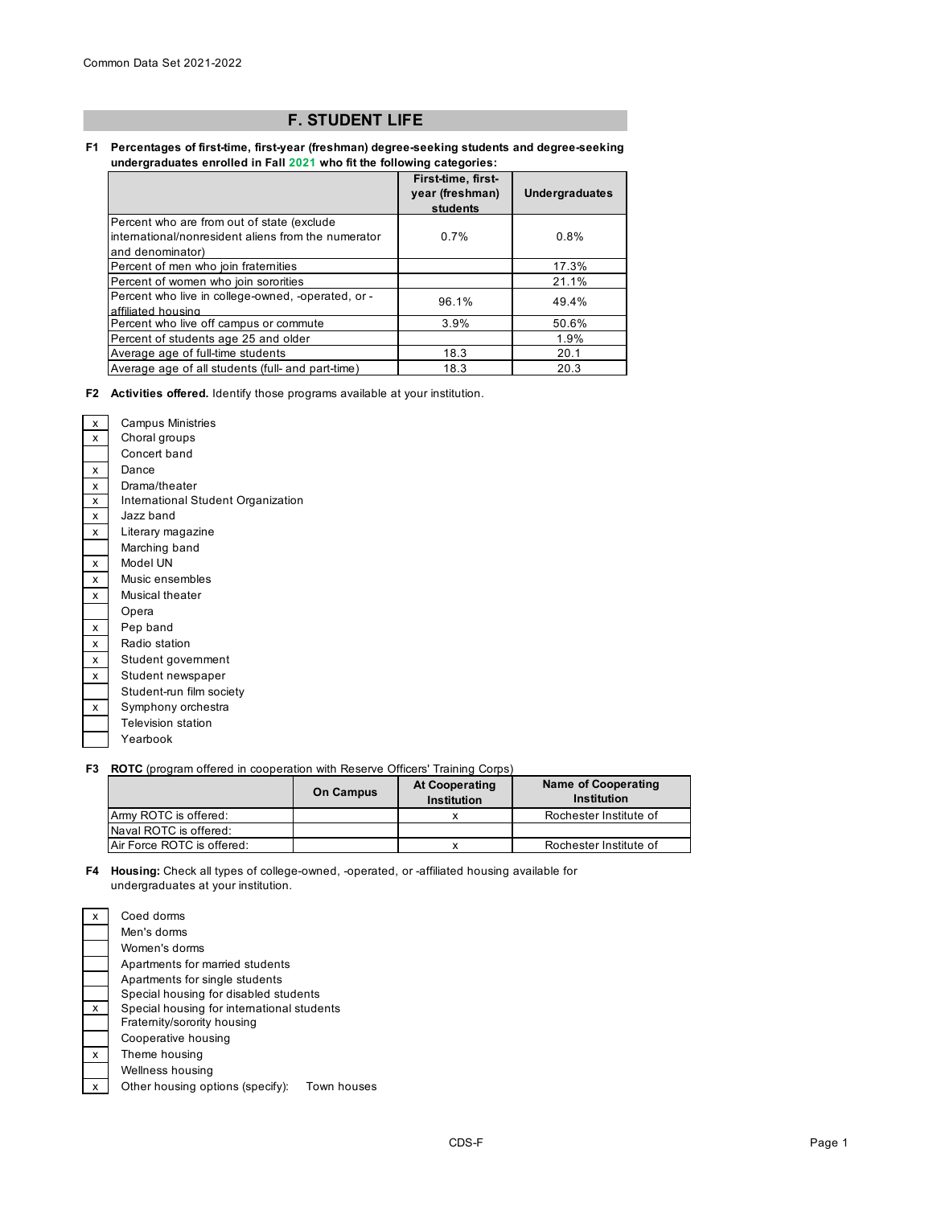## **F. STUDENT LIFE**

## **F1 Percentages of first-time, first-year (freshman) degree-seeking students and degree-seeking undergraduates enrolled in Fall 2021 who fit the following categories:**

|                                                     | First-time, first-<br>year (freshman)<br>students | <b>Undergraduates</b> |
|-----------------------------------------------------|---------------------------------------------------|-----------------------|
| Percent who are from out of state (exclude)         |                                                   |                       |
| international/nonresident aliens from the numerator | 0.7%                                              | 0.8%                  |
| and denominator)                                    |                                                   |                       |
| Percent of men who join fraternities                |                                                   | 17.3%                 |
| Percent of women who join sororities                |                                                   | 21.1%                 |
| Percent who live in college-owned, -operated, or -  | 96.1%                                             | 49.4%                 |
| affiliated housing                                  |                                                   |                       |
| Percent who live off campus or commute              | 3.9%                                              | 50.6%                 |
| Percent of students age 25 and older                |                                                   | 1.9%                  |
| Average age of full-time students                   | 18.3                                              | 20.1                  |
| Average age of all students (full- and part-time)   | 18.3                                              | 20.3                  |

**F2 Activities offered.** Identify those programs available at your institution.

| x | <b>Campus Ministries</b>           |
|---|------------------------------------|
| x | Choral groups                      |
|   | Concert band                       |
| x | Dance                              |
| x | Drama/theater                      |
| x | International Student Organization |
| x | Jazz band                          |
| x | Literary magazine                  |
|   | Marching band                      |
| x | Model UN                           |
| x | Music ensembles                    |
| x | Musical theater                    |
|   | Opera                              |
| x | Pep band                           |
| x | Radio station                      |
| x | Student government                 |
| x | Student newspaper                  |
|   | Student-run film society           |
| x | Symphony orchestra                 |
|   | <b>Television station</b>          |
|   | Yearbook                           |
|   |                                    |

## **F3 ROTC** (program offered in cooperation with Reserve Officers' Training Corps)

|                            | <b>On Campus</b> | <b>At Cooperating</b><br>Institution | <b>Name of Cooperating</b><br>Institution |
|----------------------------|------------------|--------------------------------------|-------------------------------------------|
| Army ROTC is offered:      |                  |                                      | Rochester Institute of                    |
| Naval ROTC is offered:     |                  |                                      |                                           |
| Air Force ROTC is offered: |                  |                                      | Rochester Institute of                    |

**F4 Housing:** Check all types of college-owned, -operated, or -affiliated housing available for undergraduates at your institution.

| x | Coed dorms                                      |
|---|-------------------------------------------------|
|   | Men's dorms                                     |
|   | Women's dorms                                   |
|   | Apartments for married students                 |
|   | Apartments for single students                  |
|   | Special housing for disabled students           |
| x | Special housing for international students      |
|   | Fraternity/sorority housing                     |
|   | Cooperative housing                             |
| x | Theme housing                                   |
|   | Wellness housing                                |
| x | Other housing options (specify):<br>Town houses |
|   |                                                 |